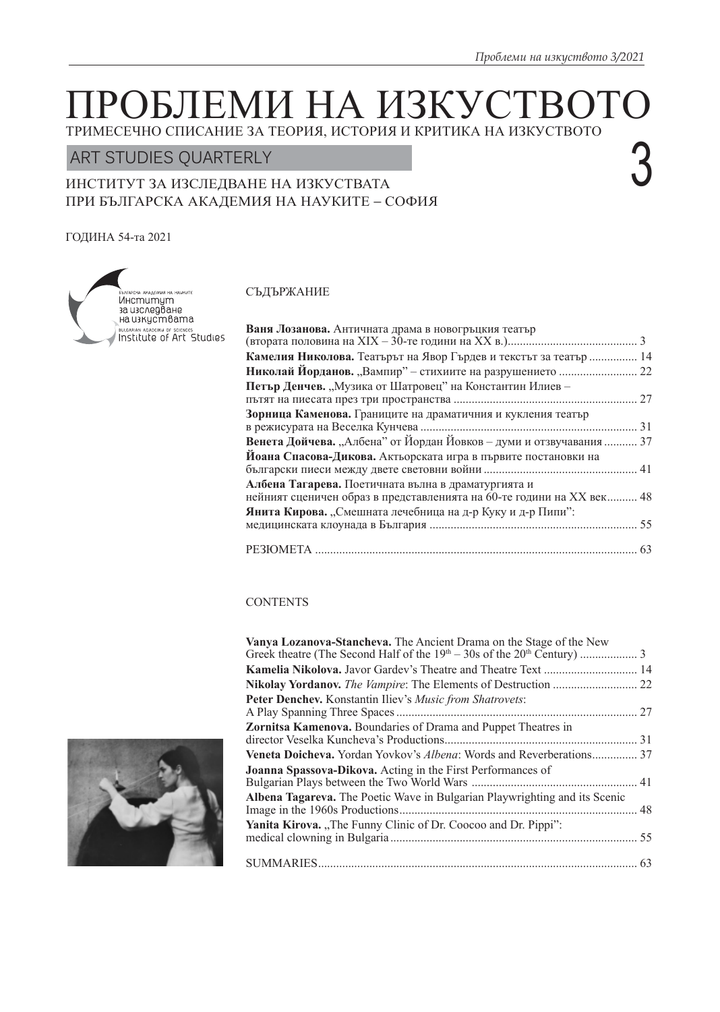3

# ГРОБЛЕМИ НА ИЗКУСТ ТРИМЕСЕЧНО СПИСАНИЕ ЗА ТЕОРИЯ, ИСТОРИЯ И КРИТИКА НА ИЗКУСТВОТО

# ART STUDIES QUARTERLY

# ИНСТИТУТ ЗА ИЗСЛЕДВАНЕ НА ИЗКУСТВАТА ПРИ БЪЛГАРСКА АКАДЕМИЯ НА НАУКИТЕ – СОФИЯ

# ГОДИНА 54-тa 2021



### СЪДЪРЖАНИЕ

| Ваня Лозанова. Античната драма в новогръцкия театър                   |  |
|-----------------------------------------------------------------------|--|
|                                                                       |  |
| Камелия Николова. Театърът на Явор Гърдев и текстът за театър  14     |  |
|                                                                       |  |
| Петър Денчев. "Музика от Шатровец" на Константин Илиев -              |  |
|                                                                       |  |
| Зорница Каменова. Границите на драматичния и кукления театър          |  |
|                                                                       |  |
| Венета Дойчева. "Албена" от Йордан Йовков - думи и отзвучавания  37   |  |
| Йоана Спасова-Дикова. Актьорската игра в първите постановки на        |  |
|                                                                       |  |
| Албена Тагарева. Поетичната вълна в драматургията и                   |  |
| нейният сценичен образ в представленията на 60-те години на XX век 48 |  |
| Янита Кирова. "Смешната лечебница на д-р Куку и д-р Пипи":            |  |
|                                                                       |  |
|                                                                       |  |
|                                                                       |  |

# **CONTENTS**

| Vanya Lozanova-Stancheva. The Ancient Drama on the Stage of the New        |  |
|----------------------------------------------------------------------------|--|
|                                                                            |  |
| Kamelia Nikolova. Javor Gardev's Theatre and Theatre Text  14              |  |
|                                                                            |  |
| Peter Denchev. Konstantin Iliev's Music from Shatrovets:                   |  |
| Zornitsa Kamenova. Boundaries of Drama and Puppet Theatres in              |  |
| Veneta Doicheva. Yordan Yovkov's Albena: Words and Reverberations 37       |  |
| <b>Joanna Spassova-Dikova.</b> Acting in the First Performances of         |  |
| Albena Tagareva. The Poetic Wave in Bulgarian Playwrighting and its Scenic |  |
| Yanita Kirova. "The Funny Clinic of Dr. Coocoo and Dr. Pippi":             |  |
|                                                                            |  |
|                                                                            |  |

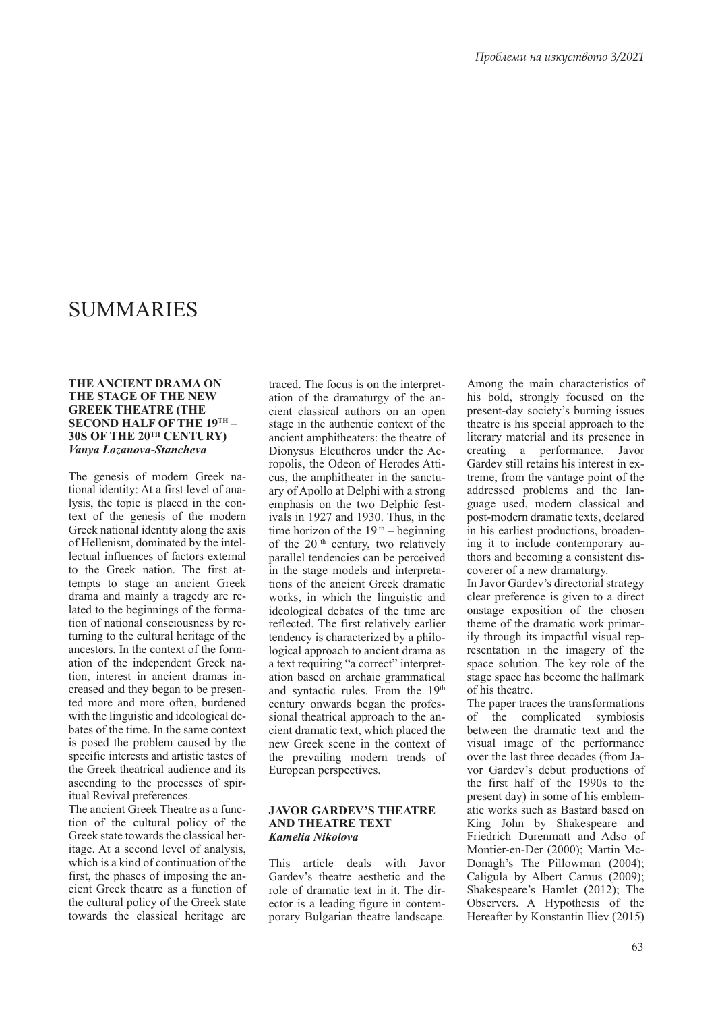# SUMMARIES

#### **THE ANCIENT DRAMA ON THE STAGE OF THE NEW GREEK THEATRE (THE SECOND HALF OF THE 19TH – 30S OF THE 20TH CENTURY)** *Vanya Lozanova-Stancheva*

The genesis of modern Greek national identity: At a first level of analysis, the topic is placed in the context of the genesis of the modern Greek national identity along the axis of Hellenism, dominated by the intellectual influences of factors external to the Greek nation. The first attempts to stage an ancient Greek drama and mainly a tragedy are related to the beginnings of the formation of national consciousness by returning to the cultural heritage of the ancestors. In the context of the formation of the independent Greek nation, interest in ancient dramas increased and they began to be presented more and more often, burdened with the linguistic and ideological debates of the time. In the same context is posed the problem caused by the specific interests and artistic tastes of the Greek theatrical audience and its ascending to the processes of spiritual Revival preferences.

The ancient Greek Theatre as a function of the cultural policy of the Greek state towards the classical heritage. At a second level of analysis, which is a kind of continuation of the first, the phases of imposing the ancient Greek theatre as a function of the cultural policy of the Greek state towards the classical heritage are

traced. The focus is on the interpretation of the dramaturgy of the ancient classical authors on an open stage in the authentic context of the ancient amphitheaters: the theatre of Dionysus Eleutheros under the Acropolis, the Odeon of Herodes Atticus, the amphitheater in the sanctuary of Apollo at Delphi with a strong emphasis on the two Delphic festivals in 1927 and 1930. Thus, in the time horizon of the  $19<sup>th</sup>$  – beginning of the 20<sup>th</sup> century, two relatively parallel tendencies can be perceived in the stage models and interpretations of the ancient Greek dramatic works, in which the linguistic and ideological debates of the time are reflected. The first relatively earlier tendency is characterized by a philological approach to ancient drama as a text requiring "a correct" interpretation based on archaic grammatical and syntactic rules. From the 19<sup>th</sup> century onwards began the professional theatrical approach to the ancient dramatic text, which placed the new Greek scene in the context of the prevailing modern trends of European perspectives.

#### **JAVOR GARDEV'S THEATRE AND THEATRE TEXT** *Kamelia Nikolova*

This article deals with Javor Gardev's theatre aesthetic and the role of dramatic text in it. The director is a leading figure in contemporary Bulgarian theatre landscape.

Among the main characteristics of his bold, strongly focused on the present-day society's burning issues theatre is his special approach to the literary material and its presence in creating a performance. Javor Gardev still retains his interest in extreme, from the vantage point of the addressed problems and the language used, modern classical and post-modern dramatic texts, declared in his earliest productions, broadening it to include contemporary authors and becoming a consistent discoverer of a new dramaturgy.

In Javor Gardev's directorial strategy clear preference is given to a direct onstage exposition of the chosen theme of the dramatic work primarily through its impactful visual representation in the imagery of the space solution. The key role of the stage space has become the hallmark of his theatre.

The paper traces the transformations of the complicated symbiosis between the dramatic text and the visual image of the performance over the last three decades (from Javor Gardev's debut productions of the first half of the 1990s to the present day) in some of his emblematic works such as Bastard based on King John by Shakespeare and Friedrich Durenmatt and Adso of Montier-en-Der (2000); Martin Mc-Donagh's The Pillowman (2004); Caligula by Albert Camus (2009); Shakespeare's Hamlet (2012); The Observers. A Hypothesis of the Hereafter by Konstantin Iliev (2015)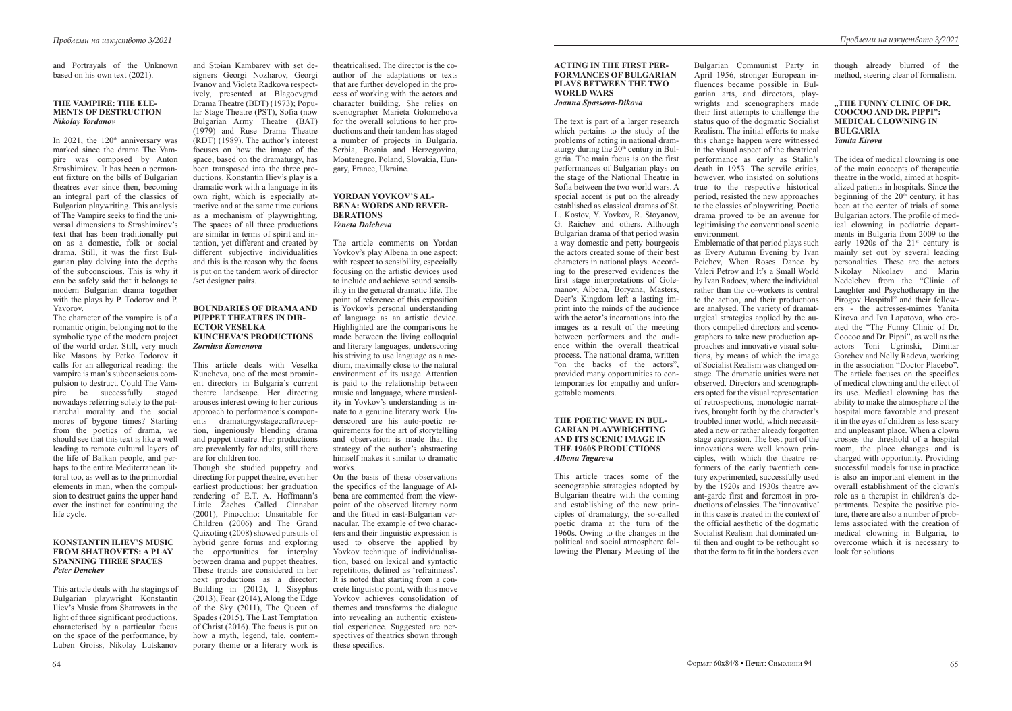and Portrayals of the Unknown based on his own text (2021).

#### **THE VAMPIRE: THE ELE-MENTS OF DESTRUCTION** *Nikolay Yordanov*

In 2021, the  $120<sup>th</sup>$  anniversary was marked since the drama The Vampire was composed by Anton Strashimirov. It has been a permanent fixture on the bills of Bulgarian theatres ever since then, becoming an integral part of the classics of Bulgarian playwriting. This analysis of The Vampire seeks to find the universal dimensions to Strashimirov's text that has been traditionally put on as a domestic, folk or social drama. Still, it was the first Bulgarian play delving into the depths of the subconscious. This is why it can be safely said that it belongs to modern Bulgarian drama together with the plays by P. Todorov and P. Yavorov.

The character of the vampire is of a romantic origin, belonging not to the symbolic type of the modern project of the world order. Still, very much like Masons by Petko Todorov it calls for an allegorical reading: the vampire is man's subconscious compulsion to destruct. Could The Vampire be successfully staged nowadays referring solely to the patriarchal morality and the social mores of bygone times? Starting from the poetics of drama, we should see that this text is like a well leading to remote cultural layers of the life of Balkan people, and perhaps to the entire Mediterranean littoral too, as well as to the primordial elements in man, when the compulsion to destruct gains the upper hand over the instinct for continuing the life cycle.

#### **KONSTANTIN ILIEV'S MUSIC FROM SHATROVETS: A PLAY SPANNING THREE SPACES** *Peter Denchev*

This article deals with the stagings of Bulgarian playwright Konstantin Iliev's Music from Shatrovets in the light of three significant productions, characterised by a particular focus on the space of the performance, by Luben Groiss, Nikolay Lutskanov and Stoian Kambarev with set designers Georgi Nozharov, Georgi Ivanov and Violeta Radkova respectively, presented at Blagoevgrad Drama Theatre (BDT) (1973); Popular Stage Theatre (PST), Sofia (now Bulgarian Army Theatre (BAT) (1979) and Ruse Drama Theatre (RDT) (1989). The author's interest focuses on how the image of the space, based on the dramaturgy, has been transposed into the three productions. Konstantin Iliev's play is a dramatic work with a language in its own right, which is especially attractive and at the same time curious as a mechanism of playwrighting. The spaces of all three productions are similar in terms of spirit and intention, yet different and created by different subjective individualities

and this is the reason why the focus is put on the tandem work of director

/set designer pairs.

#### **BOUNDARIES OF DRAMA AND PUPPET THEATRES IN DIR-ECTOR VESELKA KUNCHEVA'S PRODUCTIONS** *Zornitsa Kamenova*

This article deals with Veselka Kuncheva, one of the most prominent directors in Bulgaria's current theatre landscape. Her directing arouses interest owing to her curious approach to performance's components dramaturgy/stagecraft/reception, ingeniously blending drama and puppet theatre. Her productions are prevalently for adults, still there are for children too.

Though she studied puppetry and directing for puppet theatre, even her earliest productions: her graduation rendering of E.T. A. Hoffmann's Little Zaches Called Cinnabar (2001), Pinocchio: Unsuitable for Children (2006) and The Grand Quixoting (2008) showed pursuits of hybrid genre forms and exploring the opportunities for interplay between drama and puppet theatres. These trends are considered in her next productions as a director: Building in (2012), I, Sisyphus (2013), Fear (2014), Along the Edge of the Sky (2011), The Queen of Spades (2015), The Last Temptation of Christ (2016). The focus is put on how a myth, legend, tale, contemporary theme or a literary work is

theatricalised. The director is the coauthor of the adaptations or texts that are further developed in the process of working with the actors and character building. She relies on scenographer Marieta Golomehova for the overall solutions to her productions and their tandem has staged a number of projects in Bulgaria, Serbia, Bosnia and Herzegovina, Montenegro, Poland, Slovakia, Hungary, France, Ukraine.

#### **YORDAN YOVKOV'S AL-BENA: WORDS AND REVER-BERATIONS** *Veneta Doicheva*

The article comments on Yordan Yovkov's play Albena in one aspect: with respect to sensibility, especially focusing on the artistic devices used to include and achieve sound sensibility in the general dramatic life. The point of reference of this exposition is Yovkov's personal understanding of language as an artistic device. Highlighted are the comparisons he made between the living colloquial and literary languages, underscoring his striving to use language as a medium, maximally close to the natural environment of its usage. Attention is paid to the relationship between music and language, where musicality in Yovkov's understanding is innate to a genuine literary work. Underscored are his auto-poetic requirements for the art of storytelling and observation is made that the strategy of the author's abstracting himself makes it similar to dramatic works.

On the basis of these observations the specifics of the language of Albena are commented from the viewpoint of the observed literary norm and the fitted in east-Bulgarian vernacular. The example of two characters and their linguistic expression is used to observe the applied by Yovkov technique of individualisation, based on lexical and syntactic repetitions, defined as 'refrainness'. It is noted that starting from a concrete linguistic point, with this move Yovkov achieves consolidation of themes and transforms the dialogue into revealing an authentic existential experience. Suggested are perspectives of theatrics shown through these specifics.

### **ACTING IN THE FIRST PER-FORMANCES OF BULGARIAN PLAYS BETWEEN THE TWO WORLD WARS**

*Joanna Spassova-Dikova*

The text is part of a larger research which pertains to the study of the problems of acting in national dramaturgy during the  $20<sup>th</sup>$  century in Bulgaria. The main focus is on the first performances of Bulgarian plays on the stage of the National Theatre in Sofia between the two world wars. A special accent is put on the already established as classical dramas of St. L. Kostov, Y. Yovkov, R. Stoyanov, G. Raichev and others. Although Bulgarian drama of that period wasin a way domestic and petty bourgeois the actors created some of their best characters in national plays. According to the preserved evidences the first stage interpretations of Golemanov, Albena, Boryana, Masters, Deer's Kingdom left a lasting imprint into the minds of the audience with the actor's incarnations into the images as a result of the meeting between performers and the audience within the overall theatrical process. The national drama, written "on the backs of the actors", provided many opportunities to contemporaries for empathy and unforgettable moments.

#### **THE POETIC WAVE IN BUL-GARIAN PLAYWRIGHTING AND ITS SCENIC IMAGE IN THE 1960S PRODUCTIONS** *Albena Tagareva*

This article traces some of the scenographic strategies adopted by Bulgarian theatre with the coming and establishing of the new principles of dramaturgy, the so-called poetic drama at the turn of the 1960s. Owing to the changes in the political and social atmosphere following the Plenary Meeting of the

Bulgarian Communist Party in April 1956, stronger European influences became possible in Bulgarian arts, and directors, playwrights and scenographers made their first attempts to challenge the status quo of the dogmatic Socialist Realism. The initial efforts to make this change happen were witnessed in the visual aspect of the theatrical performance as early as Stalin's death in 1953. The servile critics, however, who insisted on solutions true to the respective historical period, resisted the new approaches to the classics of playwriting. Poetic drama proved to be an avenue for legitimising the conventional scenic environment.

Emblematic of that period plays such as Every Autumn Evening by Ivan Peichev, When Roses Dance by Valeri Petrov and It's a Small World by Ivan Radoev, where the individual rather than the co-workers is central to the action, and their productions are analysed. The variety of dramaturgical strategies applied by the authors compelled directors and scenographers to take new production approaches and innovative visual solutions, by means of which the image of Socialist Realism was changed onstage. The dramatic unities were not observed. Directors and scenographers opted for the visual representation of retrospections, monologic narratives, brought forth by the character's troubled inner world, which necessitated a new or rather already forgotten stage expression. The best part of the innovations were well known principles, with which the theatre reformers of the early twentieth century experimented, successfully used by the 1920s and 1930s theatre avant-garde first and foremost in productions of classics. The 'innovative' in this case is treated in the context of the official aesthetic of the dogmatic Socialist Realism that dominated until then and ought to be rethought so that the form to fit in the borders even

though already blurred of the method, steering clear of formalism.

#### **"THE FUNNY CLINIC OF DR. COOCOO AND DR. PIPPI": MEDICAL CLOWNING IN BULGARIA** *Yanita Kirova*

The idea of medical clowning is one of the main concepts of therapeutic theatre in the world, aimed at hospitalized patients in hospitals. Since the beginning of the  $20<sup>th</sup>$  century, it has been at the center of trials of some Bulgarian actors. The profile of medical clowning in pediatric departments in Bulgaria from 2009 to the early 1920s of the  $21^{st}$  century is mainly set out by several leading personalities. These are the actors Nikolay Nikolaev and Marin Nedelchev from the "Clinic of Laughter and Psychotherapy in the Pirogov Hospital" and their followers - the actresses-mimes Yanita Kirova and Iva Lapatova, who created the "The Funny Clinic of Dr. Coocoo and Dr. Pippi", as well as the actors Toni Ugrinski, Dimitar Gorchev and Nelly Radeva, working in the association "Doctor Placebo". The article focuses on the specifics of medical clowning and the effect of its use. Medical clowning has the ability to make the atmosphere of the hospital more favorable and present it in the eyes of children as less scary and unpleasant place. When a clown crosses the threshold of a hospital room, the place changes and is charged with opportunity. Providing successful models for use in practice is also an important element in the overall establishment of the clown's role as a therapist in children's departments. Despite the positive picture, there are also a number of problems associated with the creation of medical clowning in Bulgaria, to overcome which it is necessary to look for solutions.